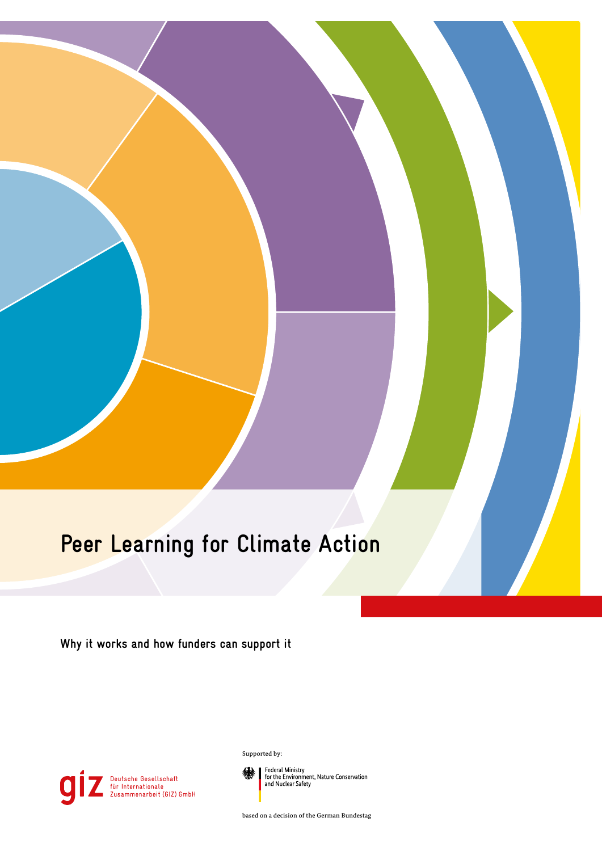# **Peer Learning for Climate Action**

**Why it works and how funders can support it**



Supported by:

Federal Ministry<br>for the Environment, Nature Conservation<br>and Nuclear Safety

based on a decision of the German Bundestag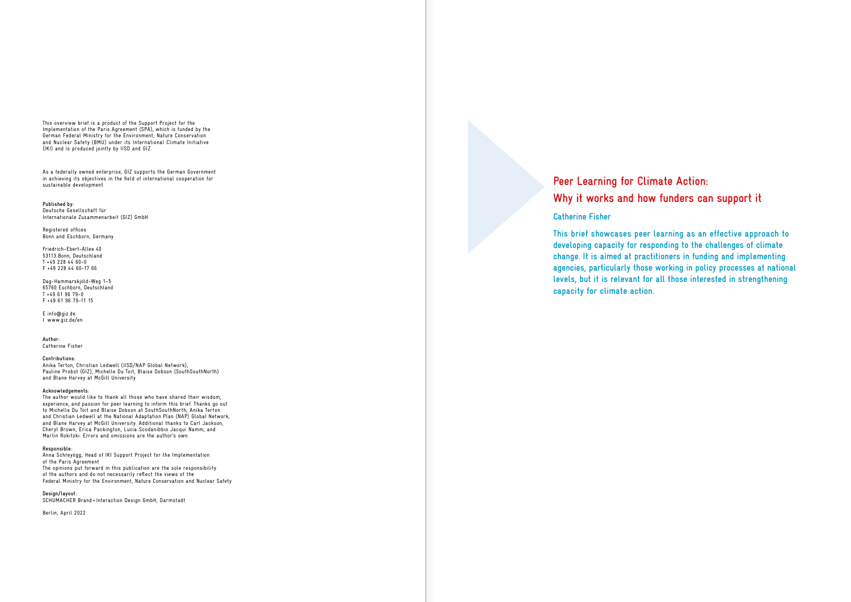This overview brief is a product of the Support Project for the Implementation of the Paris Agreement (SPA), which is funded by the German Federal Ministry for the Environment, Nature Conservation and Nuclear Safety (BMU) under its International Climate Initiative (IKI) and is produced jointly by IISD and GIZ.

As a federally owned enterprise, GIZ supports the German Government in achieving its objectives in the field of international cooperation for sustainable development.

**Published by:** Deutsche Gesellschaft für Internationale Zusammenarbeit (GIZ) GmbH

Registered offices Bonn and Eschborn, Germany

Friedrich-Ebert-Allee 40 53113 Bonn, Deutschland  $T + 49$  228 44 60-0 F +49 228 44 60-17 66

Dag-Hammarskjöld-Weg 1–5 65760 Eschborn, Deutschland T +49 61 96 79-0 F +49 61 96 79-11 15

E info@giz.de I www.giz.de/en

**Author:** Catherine Fisher

**Design/layout:** SCHUMACHER Brand+Interaction Design GmbH, Darmstadt

**Contributions:** Anika Terton, Christian Ledwell (IISD/NAP Global Network), Pauline Probst (GIZ), Michelle Du Toit, Blaise Dobson (SouthSouthNorth) and Blane Harvey at McGill University

**Acknowledgements:**

The author would like to thank all those who have shared their wisdom, experience, and passion for peer learning to inform this brief. Thanks go out to Michelle Du Toit and Blaise Dobson at SouthSouthNorth; Anika Terton and Christian Ledwell at the National Adaptation Plan (NAP) Global Network; and Blane Harvey at McGill University. Additional thanks to Carl Jackson, Cheryl Brown, Erica Packington, Lucia Scodanibbio Jacqui Namm, and Martin Rokitzki. Errors and omissions are the author's own.

### **Responsible:**

Anna Schreyögg, Head of IKI Support Project for the Implementation of the Paris Agreement The opinions put forward in this publication are the sole responsibility of the authors and do not necessarily reflect the views of the Federal Ministry for the Environment, Nature Conservation and Nuclear Safety

Berlin, April 2022

# **Peer Learning for Climate Action:**

# **Why it works and how funders can support it**

## **Catherine Fisher**

**This brief showcases peer learning as an effective approach to developing capacity for responding to the challenges of climate change. It is aimed at practitioners in funding and implementing agencies, particularly those working in policy processes at national levels, but it is relevant for all those interested in strengthening capacity for climate action.**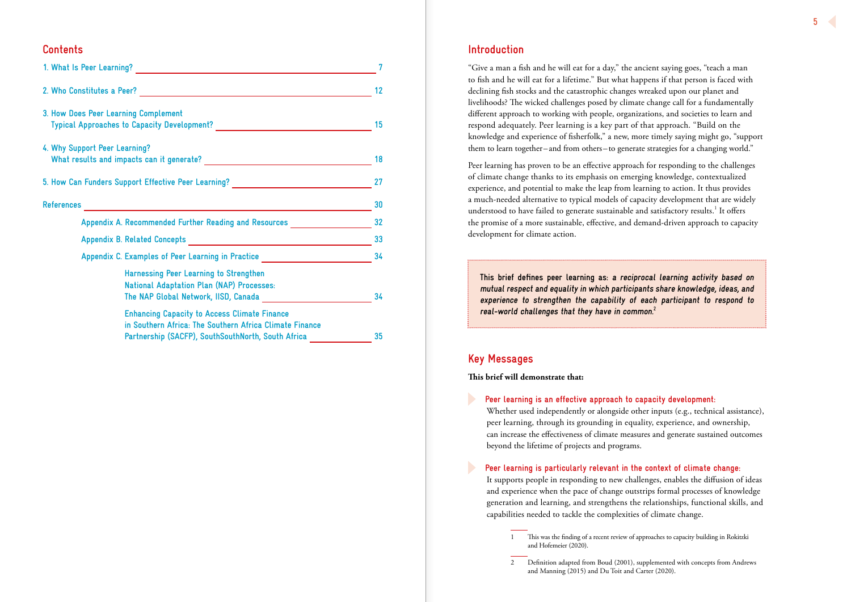# **Introduction**

"Give a man a fish and he will eat for a day," the ancient saying goes, "teach a man to fish and he will eat for a lifetime." But what happens if that person is faced with declining fish stocks and the catastrophic changes wreaked upon our planet and livelihoods? The wicked challenges posed by climate change call for a fundamentally different approach to working with people, organizations, and societies to learn and respond adequately. Peer learning is a key part of that approach. "Build on the knowledge and experience of fisherfolk," a new, more timely saying might go, "support them to learn together–and from others–to generate strategies for a changing world."

Peer learning has proven to be an effective approach for responding to the challenges of climate change thanks to its emphasis on emerging knowledge, contextualized experience, and potential to make the leap from learning to action. It thus provides a much-needed alternative to typical models of capacity development that are widely understood to have failed to generate sustainable and satisfactory results.<sup>1</sup> It offers the promise of a more sustainable, effective, and demand-driven approach to capacity development for climate action.

# **Key Messages**

**This brief will demonstrate that:**

**Peer learning is an effective approach to capacity development:** Whether used independently or alongside other inputs (e.g., technical assistance), peer learning, through its grounding in equality, experience, and ownership, can increase the effectiveness of climate measures and generate sustained outcomes beyond the lifetime of projects and programs.

# **Peer learning is particularly relevant in the context of climate change:**

 It supports people in responding to new challenges, enables the diffusion of ideas and experience when the pace of change outstrips formal processes of knowledge generation and learning, and strengthens the relationships, functional skills, and capabilities needed to tackle the complexities of climate change.

- 1 This was the finding of a recent review of approaches to capacity building in Rokitzki and Hofemeier (2020).
- 2 Definition adapted from Boud (2001), supplemented with concepts from Andrews and Manning (2015) and Du Toit and Carter (2020).

# **Contents**

| 3. How Does Peer Learning Complement                                                                                                                                 | 15 |  |
|----------------------------------------------------------------------------------------------------------------------------------------------------------------------|----|--|
| 4. Why Support Peer Learning?                                                                                                                                        | 18 |  |
| 5. How Can Funders Support Effective Peer Learning? ____________________________                                                                                     | 27 |  |
| <u> 1989 - Johann John Stone, mars et al. 1989 - Anna ann an t-Amhain ann an t-Amhain ann an t-Amhain ann an t-A</u><br>References                                   | 30 |  |
| Appendix A. Recommended Further Reading and Resources                                                                                                                | 32 |  |
|                                                                                                                                                                      | 33 |  |
| Appendix C. Examples of Peer Learning in Practice ______________________________                                                                                     |    |  |
| Harnessing Peer Learning to Strengthen<br><b>National Adaptation Plan (NAP) Processes:</b><br>The NAP Global Network, IISD, Canada                                   | 34 |  |
| <b>Enhancing Capacity to Access Climate Finance</b><br>in Southern Africa: The Southern Africa Climate Finance<br>Partnership (SACFP), SouthSouthNorth, South Africa | 35 |  |

**This brief defines peer learning as: a reciprocal learning activity based on mutual respect and equality in which participants share knowledge, ideas, and experience to strengthen the capability of each participant to respond to real-world challenges that they have in common.<sup>2</sup>**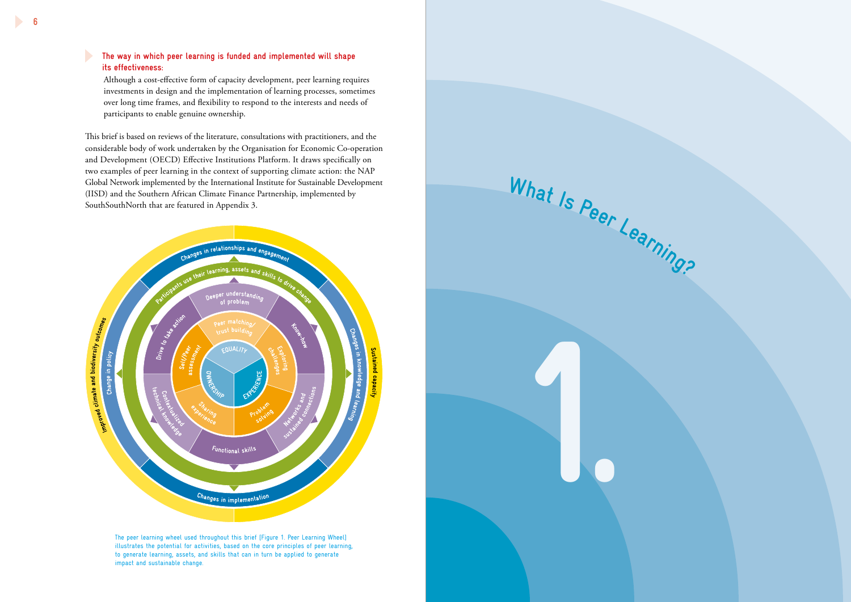# **The way in which peer learning is funded and implemented will shape its effectiveness:**

 Although a cost-effective form of capacity development, peer learning requires investments in design and the implementation of learning processes, sometimes over long time frames, and flexibility to respond to the interests and needs of participants to enable genuine ownership.

This brief is based on reviews of the literature, consultations with practitioners, and the considerable body of work undertaken by the Organisation for Economic Co-operation and Development (OECD) Effective Institutions Platform. It draws specifically on two examples of peer learning in the context of supporting climate action: the NAP Global Network implemented by the International Institute for Sustainable Development (IISD) and the Southern African Climate Finance Partnership, implemented by SouthSouthNorth that are featured in Appendix 3.



The peer learning wheel used throughout this brief [Figure 1. Peer Learning Wheel] illustrates the potential for activities, based on the core principles of peer learning, to generate learning, assets, and skills that can in turn be applied to generate impact and sustainable change.

**1.**

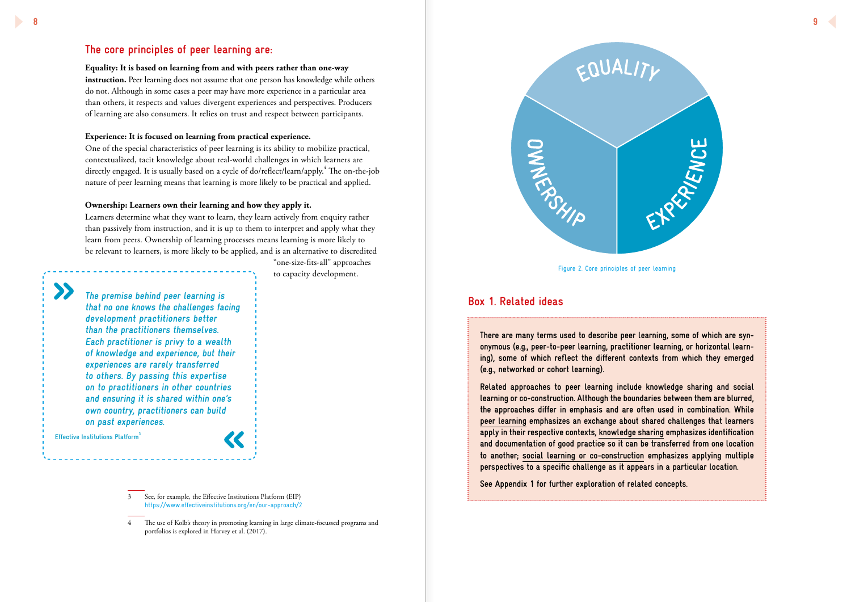

# **The core principles of peer learning are:**

**Equality: It is based on learning from and with peers rather than one-way**  instruction. Peer learning does not assume that one person has knowledge while others do not. Although in some cases a peer may have more experience in a particular area

# than others, it respects and values divergent experiences and perspectives. Producers of learning are also consumers. It relies on trust and respect between participants.

### **Experience: It is focused on learning from practical experience.**

One of the special characteristics of peer learning is its ability to mobilize practical, contextualized, tacit knowledge about real-world challenges in which learners are directly engaged. It is usually based on a cycle of do/reflect/learn/apply.<sup>4</sup> The on-the-job nature of peer learning means that learning is more likely to be practical and applied.

### **Ownership: Learners own their learning and how they apply it.**

Learners determine what they want to learn, they learn actively from enquiry rather than passively from instruction, and it is up to them to interpret and apply what they learn from peers. Ownership of learning processes means learning is more likely to be relevant to learners, is more likely to be applied, and is an alternative to discredited

> "one-size-fits-all" approaches to capacity development.

4 The use of Kolb's theory in promoting learning in large climate-focussed programs and portfolios is explored in Harvey et al. (2017).

**ONNERS** 

**The premise behind peer learning is that no one knows the challenges facing development practitioners better than the practitioners themselves. Each practitioner is privy to a wealth of knowledge and experience, but their experiences are rarely transferred to others. By passing this expertise on to practitioners in other countries and ensuring it is shared within one's own country, practitioners can build on past experiences.**

**Effective Institutions Platform3**

**There are many terms used to describe peer learning, some of which are synonymous (e.g., peer-to-peer learning, practitioner learning, or horizontal learning), some of which reflect the different contexts from which they emerged (e.g., networked or cohort learning).**

**Related approaches to peer learning include knowledge sharing and social learning or co-construction. Although the boundaries between them are blurred, the approaches differ in emphasis and are often used in combination. While peer learning emphasizes an exchange about shared challenges that learners apply in their respective contexts, knowledge sharing emphasizes identification and documentation of good practice so it can be transferred from one location to another; social learning or co-construction emphasizes applying multiple perspectives to a specific challenge as it appears in a particular location.**

**See Appendix 1 for further exploration of related concepts.**



# **Box 1. Related ideas**

Figure 2. Core principles of peer learning

<sup>3</sup> See, for example, the Effective Institutions Platform (EIP) https://www.effectiveinstitutions.org/en/our-approach/2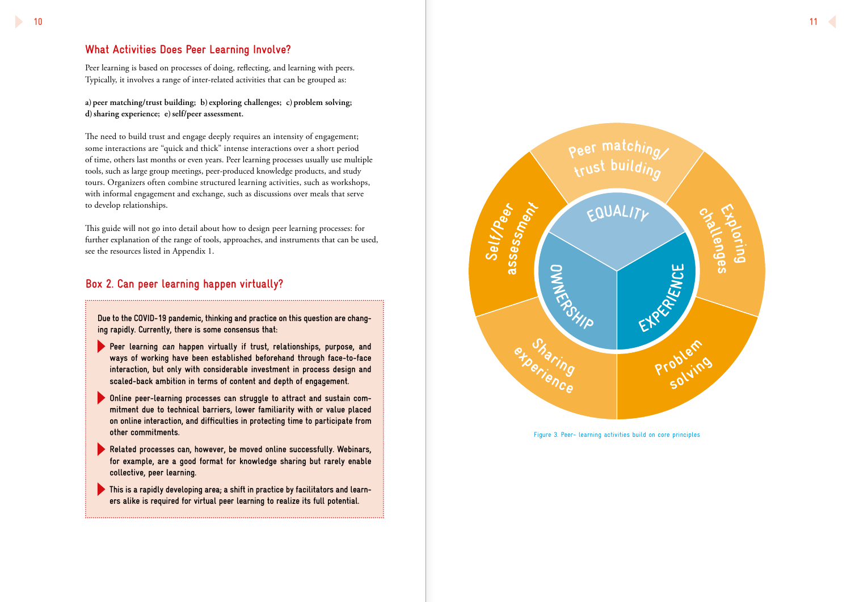

# **What Activities Does Peer Learning Involve?**

Peer learning is based on processes of doing, reflecting, and learning with peers. Typically, it involves a range of inter-related activities that can be grouped as:

**a) peer matching/trust building; b) exploring challenges; c) problem solving; d)sharing experience; e)self/peer assessment.**

The need to build trust and engage deeply requires an intensity of engagement; some interactions are "quick and thick" intense interactions over a short period of time, others last months or even years. Peer learning processes usually use multiple tools, such as large group meetings, peer-produced knowledge products, and study tours. Organizers often combine structured learning activities, such as workshops, with informal engagement and exchange, such as discussions over meals that serve to develop relationships.

This guide will not go into detail about how to design peer learning processes: for further explanation of the range of tools, approaches, and instruments that can be used, see the resources listed in Appendix 1.

- **Peer learning can happen virtually if trust, relationships, purpose, and ways of working have been established beforehand through face-to-face interaction, but only with considerable investment in process design and scaled-back ambition in terms of content and depth of engagement.**
- **Online peer-learning processes can struggle to attract and sustain commitment due to technical barriers, lower familiarity with or value placed on online interaction, and difficulties in protecting time to participate from other commitments.**
- **Related processes can, however, be moved online successfully. Webinars, for example, are a good format for knowledge sharing but rarely enable collective, peer learning.**
- **This is a rapidly developing area; a shift in practice by facilitators and learners alike is required for virtual peer learning to realize its full potential.**



**Due to the COVID-19 pandemic, thinking and practice on this question are changing rapidly. Currently, there is some consensus that:** 

# **Box 2. Can peer learning happen virtually?**

Figure 3. Peer- learning activities build on core principles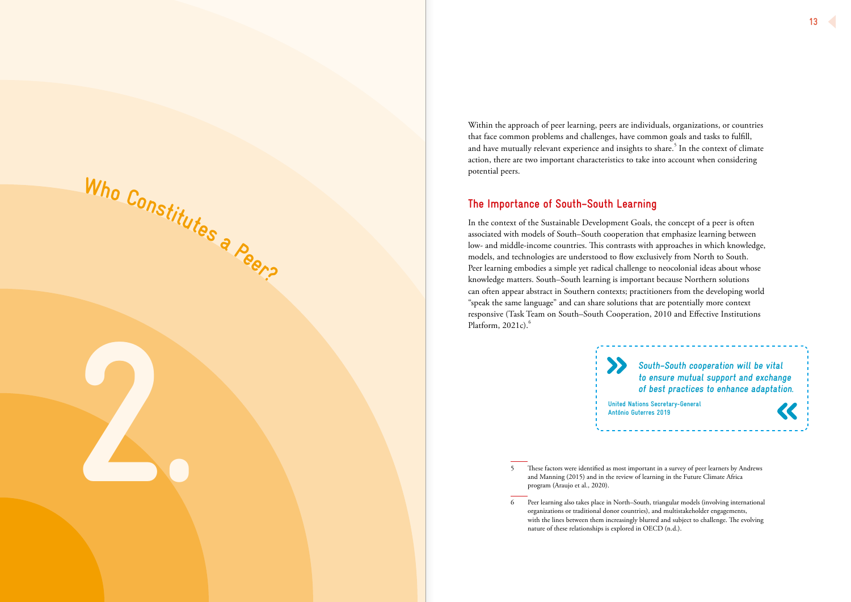Within the approach of peer learning, peers are individuals, organizations, or countries that face common problems and challenges, have common goals and tasks to fulfill, and have mutually relevant experience and insights to share. $^5$  In the context of climate action, there are two important characteristics to take into account when considering potential peers.

In the context of the Sustainable Development Goals, the concept of a peer is often associated with models of South–South cooperation that emphasize learning between low- and middle-income countries. This contrasts with approaches in which knowledge, models, and technologies are understood to flow exclusively from North to South. Peer learning embodies a simple yet radical challenge to neocolonial ideas about whose knowledge matters. South–South learning is important because Northern solutions can often appear abstract in Southern contexts; practitioners from the developing world "speak the same language" and can share solutions that are potentially more context responsive (Task Team on South–South Cooperation, 2010 and Effective Institutions Platform,  $2021c$ .<sup>6</sup>

# **The Importance of South–South Learning**

 $\sum$ **United Nations Secretary-General António Guterres 2019**

5 These factors were identified as most important in a survey of peer learners by Andrews and Manning (2015) and in the review of learning in the Future Climate Africa program (Araujo et al., 2020).

6 Peer learning also takes place in North–South, triangular models (involving international organizations or traditional donor countries), and multistakeholder engagements, nature of these relationships is explored in OECD (n.d.).

with the lines between them increasingly blurred and subject to challenge. The evolving

**2.**

**<sup>W</sup>h<sup>o</sup> <sup>C</sup>onstitute<sup>s</sup> <sup>a</sup> <sup>P</sup>eer?**

**South–South cooperation will be vital to ensure mutual support and exchange of best practices to enhance adaptation.**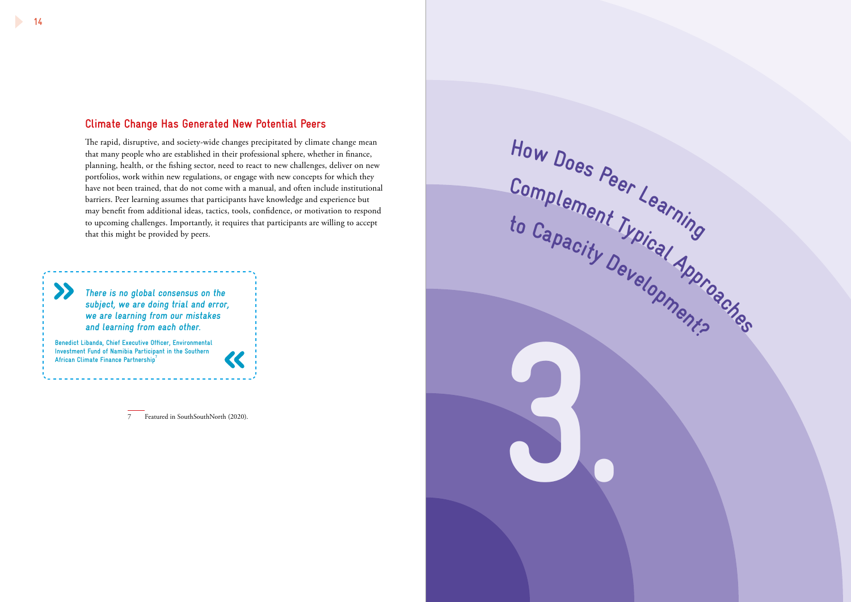$\boldsymbol{\Sigma}$ 

# **Climate Change Has Generated New Potential Peers**

The rapid, disruptive, and society-wide changes precipitated by climate change mean that many people who are established in their professional sphere, whether in finance, planning, health, or the fishing sector, need to react to new challenges, deliver on new portfolios, work within new regulations, or engage with new concepts for which they have not been trained, that do not come with a manual, and often include institutional barriers. Peer learning assumes that participants have knowledge and experience but may benefit from additional ideas, tactics, tools, confidence, or motivation to respond to upcoming challenges. Importantly, it requires that participants are willing to accept that this might be provided by peers.

 $\ll$ 

**Benedict Libanda, Chief Executive Officer, Environmental Investment Fund of Namibia Participant in the Southern African Climate Finance Partnership**<sup>2</sup>

7 Featured in SouthSouthNorth (2020).



**There is no global consensus on the subject, we are doing trial and error, we are learning from our mistakes and learning from each other.**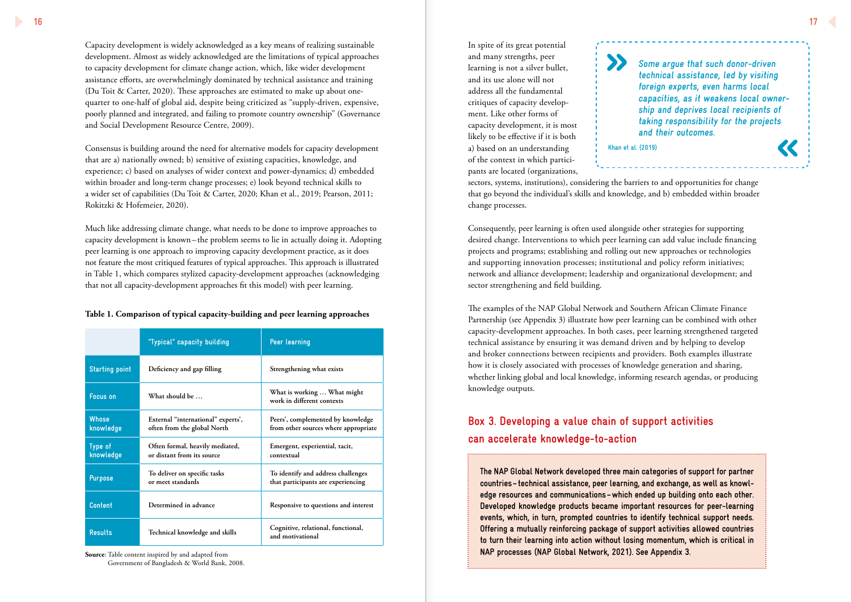Capacity development is widely acknowledged as a key means of realizing sustainable development. Almost as widely acknowledged are the limitations of typical approaches to capacity development for climate change action, which, like wider development assistance efforts, are overwhelmingly dominated by technical assistance and training (Du Toit & Carter, 2020). These approaches are estimated to make up about onequarter to one-half of global aid, despite being criticized as "supply-driven, expensive, poorly planned and integrated, and failing to promote country ownership" (Governance and Social Development Resource Centre, 2009).

Consensus is building around the need for alternative models for capacity development that are a) nationally owned; b) sensitive of existing capacities, knowledge, and experience; c) based on analyses of wider context and power-dynamics; d) embedded within broader and long-term change processes; e) look beyond technical skills to a wider set of capabilities (Du Toit & Carter, 2020; Khan et al., 2019; Pearson, 2011; Rokitzki & Hofemeier, 2020).

Much like addressing climate change, what needs to be done to improve approaches to capacity development is known– the problem seems to lie in actually doing it. Adopting peer learning is one approach to improving capacity development practice, as it does not feature the most critiqued features of typical approaches. This approach is illustrated in Table 1, which compares stylized capacity-development approaches (acknowledging that not all capacity-development approaches fit this model) with peer learning.

|  |  | Table 1. Comparison of typical capacity-building and peer learning approaches |
|--|--|-------------------------------------------------------------------------------|
|  |  |                                                                               |

**Source**: Table content inspired by and adapted from Government of Bangladesh & World Bank, 2008.

In spite of its great potential and many strengths, peer learning is not a silver bullet, and its use alone will not address all the fundamental critiques of capacity development. Like other forms of capacity development, it is most likely to be effective if it is both a) based on an understanding of the context in which participants are located (organizations,

sectors, systems, institutions), considering the barriers to and opportunities for change that go beyond the individual's skills and knowledge, and b) embedded within broader change processes.

Consequently, peer learning is often used alongside other strategies for supporting desired change. Interventions to which peer learning can add value include financing projects and programs; establishing and rolling out new approaches or technologies and supporting innovation processes; institutional and policy reform initiatives; network and alliance development; leadership and organizational development; and sector strengthening and field building.

The examples of the NAP Global Network and Southern African Climate Finance Partnership (see Appendix 3) illustrate how peer learning can be combined with other capacity-development approaches. In both cases, peer learning strengthened targeted technical assistance by ensuring it was demand driven and by helping to develop and broker connections between recipients and providers. Both examples illustrate how it is closely associated with processes of knowledge generation and sharing, whether linking global and local knowledge, informing research agendas, or producing knowledge outputs.

**The NAP Global Network developed three main categories of support for partner countries–technical assistance, peer learning, and exchange, as well as knowledge resources and communications–which ended up building onto each other. Developed knowledge products became important resources for peer-learning events, which, in turn, prompted countries to identify technical support needs. Offering a mutually reinforcing package of support activities allowed countries to turn their learning into action without losing momentum, which is critical in NAP processes (NAP Global Network, 2021). See Appendix 3.** 

# **Box 3. Developing a value chain of support activities can accelerate knowledge-to-action**

**Some argue that such donor-driven technical assistance, led by visiting foreign experts, even harms local capacities, as it weakens local ownership and deprives local recipients of taking responsibility for the projects and their outcomes.**



|                             | "Typical" capacity building                                       | <b>Peer learning</b>                                                      |
|-----------------------------|-------------------------------------------------------------------|---------------------------------------------------------------------------|
| <b>Starting point</b>       | Deficiency and gap filling                                        | Strengthening what exists                                                 |
| <b>Focus on</b>             | What should be                                                    | What is working  What might<br>work in different contexts                 |
| <b>Whose</b><br>knowledge   | External "international" experts',<br>often from the global North | Peers', complemented by knowledge<br>from other sources where appropriate |
| <b>Type of</b><br>knowledge | Often formal, heavily mediated,<br>or distant from its source     | Emergent, experiential, tacit,<br>contextual                              |
| <b>Purpose</b>              | To deliver on specific tasks<br>or meet standards                 | To identify and address challenges<br>that participants are experiencing  |
| <b>Content</b>              | Determined in advance                                             | Responsive to questions and interest                                      |
| <b>Results</b>              | Technical knowledge and skills                                    | Cognitive, relational, functional,<br>and motivational                    |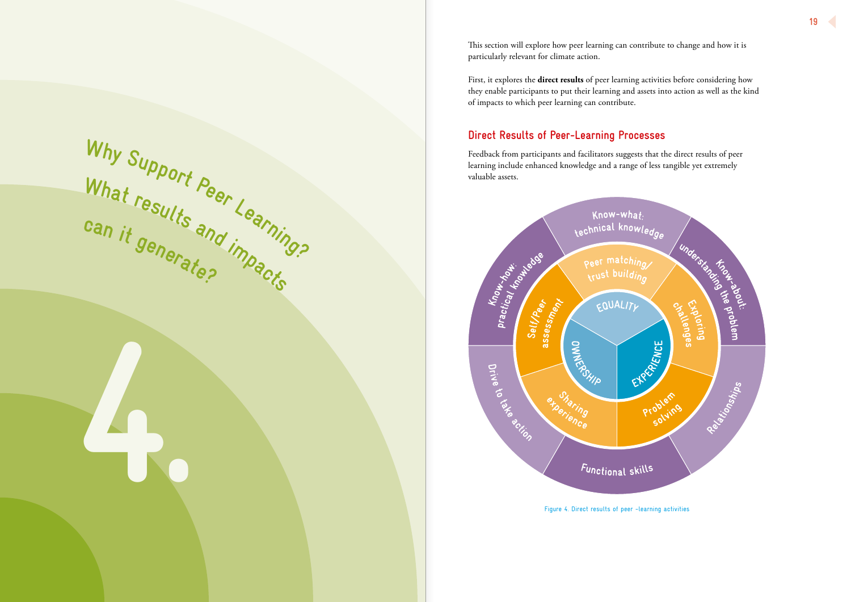This section will explore how peer learning can contribute to change and how it is particularly relevant for climate action.

First, it explores the **direct results** of peer learning activities before considering how they enable participants to put their learning and assets into action as well as the kind of impacts to which peer learning can contribute.

**can** it generate? We can **<sup>g</sup>enerate?**

# **Direct Results of Peer-Learning Processes**

Feedback from participants and facilitators suggests that the direct results of peer learning include enhanced knowledge and a range of less tangible yet extremely valuable assets.



**<sup>W</sup>h<sup>y</sup>**

**<sup>S</sup>uppor<sup>t</sup>**

What results

**<sup>P</sup>ee<sup>r</sup>**

**<sup>L</sup>earning?**

Figure 4. Direct results of peer -learning activities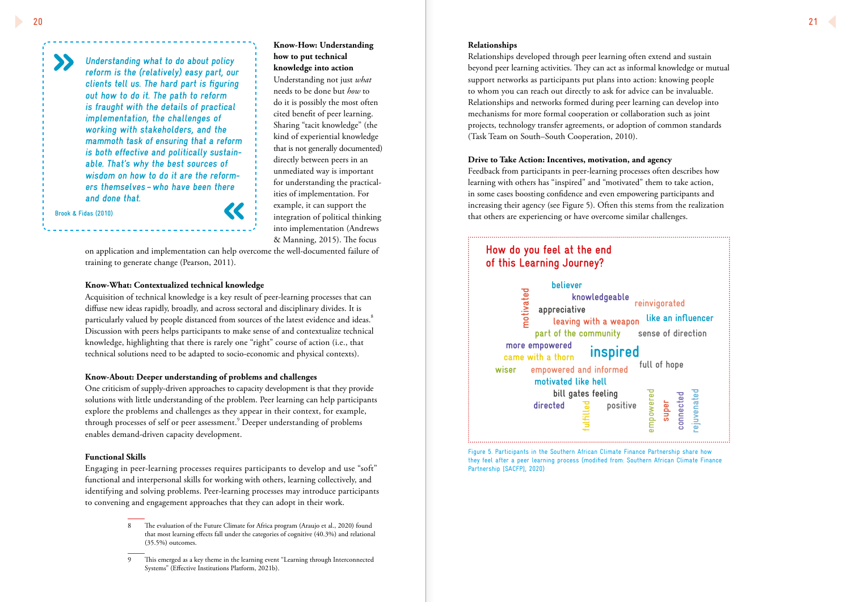# **Know-How: Understanding how to put technical knowledge into action**

Understanding not just *what* needs to be done but *how* to do it is possibly the most often cited benefit of peer learning. Sharing "tacit knowledge" (the kind of experiential knowledge that is not generally documented) directly between peers in an unmediated way is important for understanding the practical ities of implementation. For example, it can support the integration of political thinking into implementation (Andrews & Manning, 2015). The focus

on application and implementation can help overcome the well-documented failure of training to generate change (Pearson, 2011).

### **Know-What: Contextualized technical knowledge**

Acquisition of technical knowledge is a key result of peer-learning processes that can diffuse new ideas rapidly, broadly, and across sectoral and disciplinary divides. It is particularly valued by people distanced from sources of the latest evidence and ideas. $^{\mathrm{8}}$ Discussion with peers helps participants to make sense of and contextualize technical knowledge, highlighting that there is rarely one "right" course of action (i.e., that technical solutions need to be adapted to socio-economic and physical contexts).

# **Know-About: Deeper understanding of problems and challenges**

One criticism of supply-driven approaches to capacity development is that they provide solutions with little understanding of the problem. Peer learning can help participants explore the problems and challenges as they appear in their context, for example, through processes of self or peer assessment. 9 Deeper understanding of problems enables demand-driven capacity development.

### **Functional Skills**

Engaging in peer-learning processes requires participants to develop and use "soft" functional and interpersonal skills for working with others, learning collectively, and identifying and solving problems. Peer-learning processes may introduce participants to convening and engagement approaches that they can adopt in their work.

## **Relationships**

Relationships developed through peer learning often extend and sustain beyond peer learning activities. They can act as informal knowledge or mutual support networks as participants put plans into action: knowing people to whom you can reach out directly to ask for advice can be invaluable. Relationships and networks formed during peer learning can develop into mechanisms for more formal cooperation or collaboration such as joint projects, technology transfer agreements, or adoption of common standards (Task Team on South–South Cooperation, 2010).

# **Drive to Take Action: Incentives, motivation, and agency**

Feedback from participants in peer-learning processes often describes how learning with others has "inspired" and "motivated" them to take action, in some cases boosting confidence and even empowering participants and increasing their agency (see Figure 5). Often this stems from the realization that others are experiencing or have overcome similar challenges.

# **Understanding what to do about policy reform is the (relatively) easy part, our clients tell us. The hard part is figuring out how to do it. The path to reform is fraught with the details of practical implementation, the challenges of working with stakeholders, and the mammoth task of ensuring that a reform is both effective and politically sustain able. That's why the best sources of wisdom on how to do it are the reform ers themselves –who have been there and done that.**



they feel after a peer learning process (modified from: Southern African Climate Finance Partnership [SACFP], 2020)

**Brook & Fidas (2010)**

# **How do you feel at the end of this Learning Journey?**

The evaluation of the Future Climate for Africa program (Araujo et al., 2020) found that most learning effects fall under the categories of cognitive (40.3%) and relational (35.5%) outcomes.

This emerged as a key theme in the learning event "Learning through Interconnected Systems" (Effective Institutions Platform, 2021b).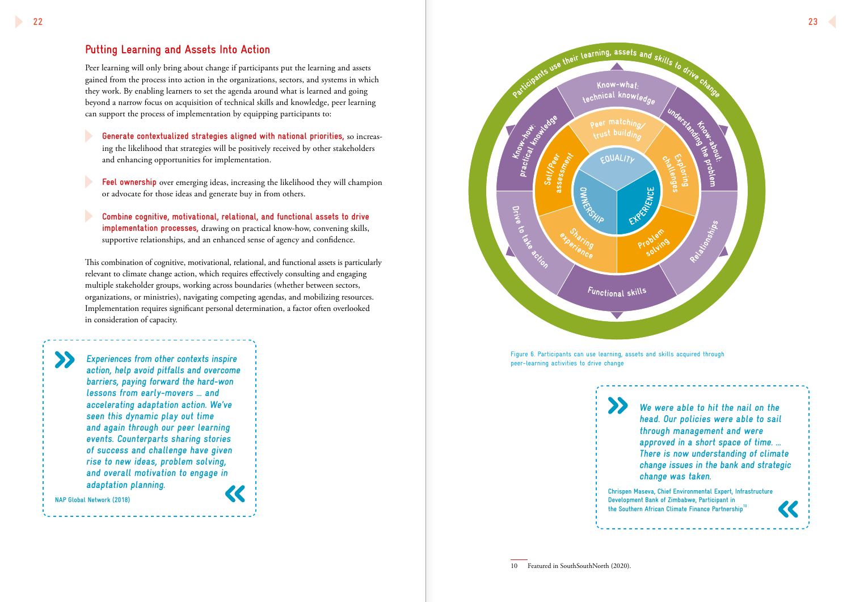

# **Putting Learning and Assets Into Action**

Peer learning will only bring about change if participants put the learning and assets gained from the process into action in the organizations, sectors, and systems in which they work. By enabling learners to set the agenda around what is learned and going beyond a narrow focus on acquisition of technical skills and knowledge, peer learning can support the process of implementation by equipping participants to:

 **Generate contextualized strategies aligned with national priorities,** so increasing the likelihood that strategies will be positively received by other stakeholders and enhancing opportunities for implementation.

 **Feel ownership** over emerging ideas, increasing the likelihood they will champion or advocate for those ideas and generate buy in from others.

> **Chrispen Maseva, Chief Environmental Expert, Infrastructure Development Bank of Zimbabwe, Participant in**  the Southern African Climate Finance Partnership<sup>10</sup>

 **Combine cognitive, motivational, relational, and functional assets to drive implementation processes,** drawing on practical know-how, convening skills, supportive relationships, and an enhanced sense of agency and confidence.

This combination of cognitive, motivational, relational, and functional assets is particularly relevant to climate change action, which requires effectively consulting and engaging multiple stakeholder groups, working across boundaries (whether between sectors, organizations, or ministries), navigating competing agendas, and mobilizing resources. Implementation requires significant personal determination, a factor often overlooked in consideration of capacity.

**We were able to hit the nail on the head. Our policies were able to sail through management and were approved in a short space of time. … There is now understanding of climate change issues in the bank and strategic change was taken.**



 $\sum$ 

**action, help avoid pitfalls and overcome barriers, paying forward the hard-won lessons from early-movers … and accelerating adaptation action. We've seen this dynamic play out time and again through our peer learning events. Counterparts sharing stories of success and challenge have given rise to new ideas, problem solving, and overall motivation to engage in adaptation planning.**

**NAP Global Network (2018)**

 $\boldsymbol{\Sigma}$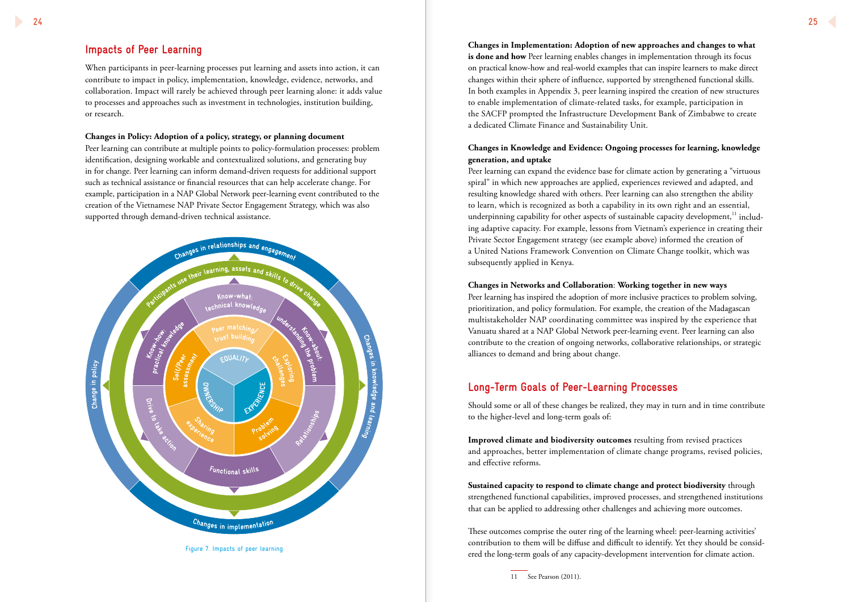# **Impacts of Peer Learning**

When participants in peer-learning processes put learning and assets into action, it can contribute to impact in policy, implementation, knowledge, evidence, networks, and collaboration. Impact will rarely be achieved through peer learning alone: it adds value to processes and approaches such as investment in technologies, institution building, or research.

### **Changes in Policy: Adoption of a policy, strategy, or planning document**

Peer learning can contribute at multiple points to policy-formulation processes: problem identification, designing workable and contextualized solutions, and generating buy in for change. Peer learning can inform demand-driven requests for additional support such as technical assistance or financial resources that can help accelerate change. For example, participation in a NAP Global Network peer-learning event contributed to the creation of the Vietnamese NAP Private Sector Engagement Strategy, which was also supported through demand-driven technical assistance.



**Changes in Implementation: Adoption of new approaches and changes to what is done and how** Peer learning enables changes in implementation through its focus on practical know-how and real-world examples that can inspire learners to make direct changes within their sphere of influence, supported by strengthened functional skills. In both examples in Appendix 3, peer learning inspired the creation of new structures to enable implementation of climate-related tasks, for example, participation in the SACFP prompted the Infrastructure Development Bank of Zimbabwe to create a dedicated Climate Finance and Sustainability Unit.

# **Changes in Knowledge and Evidence: Ongoing processes for learning, knowledge generation, and uptake**

Peer learning can expand the evidence base for climate action by generating a "virtuous spiral" in which new approaches are applied, experiences reviewed and adapted, and resulting knowledge shared with others. Peer learning can also strengthen the ability to learn, which is recognized as both a capability in its own right and an essential, underpinning capability for other aspects of sustainable capacity development, $11$  including adaptive capacity. For example, lessons from Vietnam's experience in creating their Private Sector Engagement strategy (see example above) informed the creation of a United Nations Framework Convention on Climate Change toolkit, which was subsequently applied in Kenya.

# **Changes in Networks and Collaboration**: **Working together in new ways**

Peer learning has inspired the adoption of more inclusive practices to problem solving, prioritization, and policy formulation. For example, the creation of the Madagascan multistakeholder NAP coordinating committee was inspired by the experience that Vanuatu shared at a NAP Global Network peer-learning event. Peer learning can also contribute to the creation of ongoing networks, collaborative relationships, or strategic alliances to demand and bring about change.

# **Long-Term Goals of Peer-Learning Processes**

Should some or all of these changes be realized, they may in turn and in time contribute to the higher-level and long-term goals of:

**Improved climate and biodiversity outcomes** resulting from revised practices and approaches, better implementation of climate change programs, revised policies, and effective reforms.

**Sustained capacity to respond to climate change and protect biodiversity** through strengthened functional capabilities, improved processes, and strengthened institutions that can be applied to addressing other challenges and achieving more outcomes.

These outcomes comprise the outer ring of the learning wheel: peer-learning activities' contribution to them will be diffuse and difficult to identify. Yet they should be considered the long-term goals of any capacity-development intervention for climate action.

Figure 7. Impacts of peer learning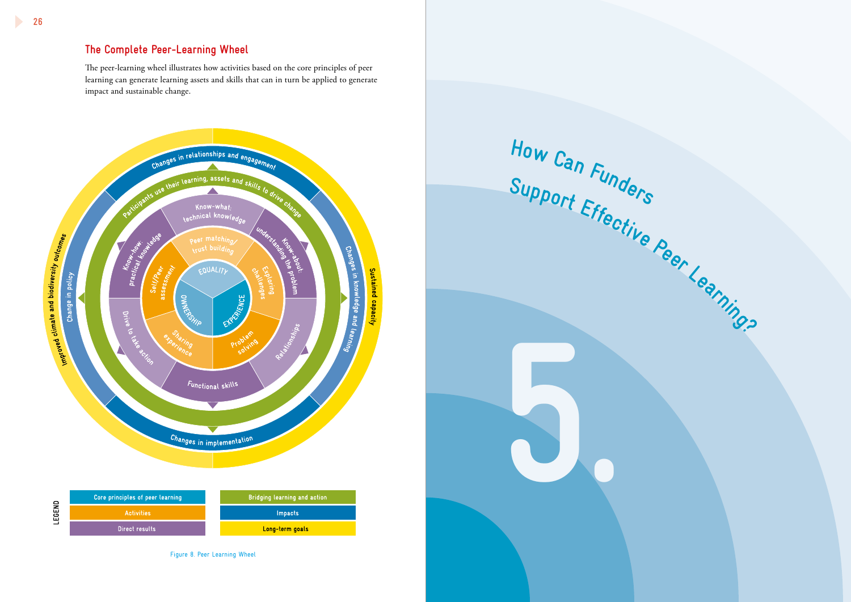**5.**



# **The Complete Peer-Learning Wheel**

The peer-learning wheel illustrates how activities based on the core principles of peer learning can generate learning assets and skills that can in turn be applied to generate impact and sustainable change.



Figure 8. Peer Learning Wheel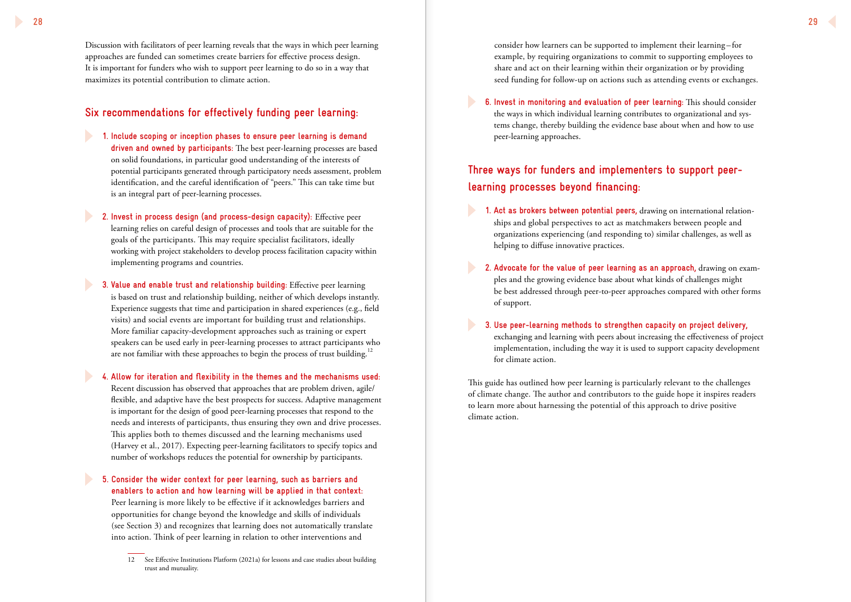Discussion with facilitators of peer learning reveals that the ways in which peer learning approaches are funded can sometimes create barriers for effective process design. It is important for funders who wish to support peer learning to do so in a way that maximizes its potential contribution to climate action.

- **1. Include scoping or inception phases to ensure peer learning is demand driven and owned by participants:** The best peer-learning processes are based on solid foundations, in particular good understanding of the interests of potential participants generated through participatory needs assessment, problem identification, and the careful identification of "peers." This can take time but is an integral part of peer-learning processes.
- **2. Invest in process design (and process-design capacity):** Effective peer learning relies on careful design of processes and tools that are suitable for the goals of the participants. This may require specialist facilitators, ideally working with project stakeholders to develop process facilitation capacity within implementing programs and countries.
- **3. Value and enable trust and relationship building:** Effective peer learning is based on trust and relationship building, neither of which develops instantly. Experience suggests that time and participation in shared experiences (e.g., field visits) and social events are important for building trust and relationships. More familiar capacity-development approaches such as training or expert speakers can be used early in peer-learning processes to attract participants who are not familiar with these approaches to begin the process of trust building.<sup>12</sup>

# **Six recommendations for effectively funding peer learning:**

**4. Allow for iteration and flexibility in the themes and the mechanisms used:**  Recent discussion has observed that approaches that are problem driven, agile/ flexible, and adaptive have the best prospects for success. Adaptive management is important for the design of good peer-learning processes that respond to the needs and interests of participants, thus ensuring they own and drive processes. This applies both to themes discussed and the learning mechanisms used (Harvey et al., 2017). Expecting peer-learning facilitators to specify topics and number of workshops reduces the potential for ownership by participants.

**5. Consider the wider context for peer learning, such as barriers and enablers to action and how learning will be applied in that context:** 

Peer learning is more likely to be effective if it acknowledges barriers and opportunities for change beyond the knowledge and skills of individuals (see Section 3) and recognizes that learning does not automatically translate into action. Think of peer learning in relation to other interventions and

consider how learners can be supported to implement their learning – for example, by requiring organizations to commit to supporting employees to share and act on their learning within their organization or by providing seed funding for follow-up on actions such as attending events or exchanges.

**6. Invest in monitoring and evaluation of peer learning:** This should consider the ways in which individual learning contributes to organizational and systems change, thereby building the evidence base about when and how to use peer-learning approaches.

# **Three ways for funders and implementers to support peerlearning processes beyond financing:**

- **1. Act as brokers between potential peers,** drawing on international relationships and global perspectives to act as matchmakers between people and organizations experiencing (and responding to) similar challenges, as well as helping to diffuse innovative practices.
- **2. Advocate for the value of peer learning as an approach,** drawing on examples and the growing evidence base about what kinds of challenges might be best addressed through peer-to-peer approaches compared with other forms of support.
- **3. Use peer-learning methods to strengthen capacity on project delivery,** exchanging and learning with peers about increasing the effectiveness of project implementation, including the way it is used to support capacity development for climate action.

This guide has outlined how peer learning is particularly relevant to the challenges of climate change. The author and contributors to the guide hope it inspires readers to learn more about harnessing the potential of this approach to drive positive climate action.

<sup>12</sup> See Effective Institutions Platform (2021a) for lessons and case studies about building trust and mutuality.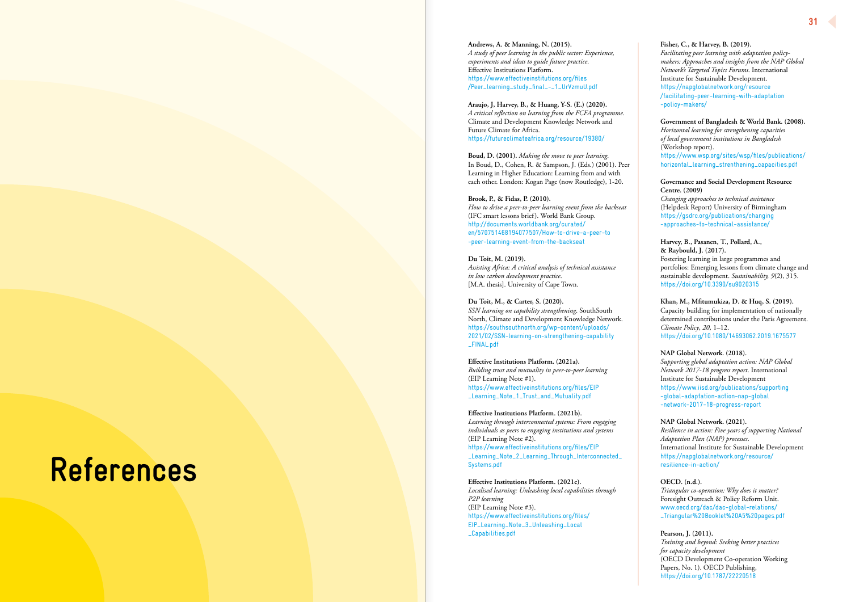

**Andrews, A. & Manning, N. (2015).**  *A study of peer learning in the public sector: Experience, experiments and ideas to guide future practice*. Effective Institutions Platform. https://www.effectiveinstitutions.org/files /Peer\_learning\_study\_final\_-\_1\_UrVzmuU.pdf

**Araujo, J, Harvey, B., & Huang, Y-S. (E.) (2020).**  *A critical reflection on learning from the FCFA programme*. Climate and Development Knowledge Network and Future Climate for Africa. https://futureclimateafrica.org/resource/19380/

*Assisting Africa: A critical analysis of technical assistance in low carbon development practice*. [M.A. thesis]. University of Cape Town.

**Boud, D. (2001).** *Making the move to peer learning.* In Boud, D., Cohen, R. & Sampson, J. (Eds.) (2001). Peer Learning in Higher Education: Learning from and with each other. London: Kogan Page (now Routledge), 1-20.

### **Brook, P., & Fidas, P. (2010).**

*How to drive a peer-to-peer learning event from the backseat*  (IFC smart lessons brief). World Bank Group. http://documents.worldbank.org/curated/ en/570751468194077507/How-to-drive-a-peer-to -peer-learning-event-from-the-backseat

### **Du Toit, M. (2019).**

### **Du Toit, M., & Carter, S. (2020).**

*SSN learning on capability strengthening*. SouthSouth North, Climate and Development Knowledge Network. https://southsouthnorth.org/wp-content/uploads/ 2021/02/SSN-learning-on-strengthening-capability \_FINAL.pdf

**Effective Institutions Platform. (2021a).**

*Building trust and mutuality in peer-to-peer learning*  (EIP Learning Note #1). https://www.effectiveinstitutions.org/files/EIP \_Learning\_Note\_1\_Trust\_and\_Mutuality.pdf

**Effective Institutions Platform. (2021b).** *Learning through interconnected systems: From engaging individuals as peers to engaging institutions and systems* (EIP Learning Note #2).

https://www.effectiveinstitutions.org/files/EIP \_Learning\_Note\_2\_Learning\_Through\_Interconnected\_ Systems.pdf

**Effective Institutions Platform. (2021c).** *Localised learning: Unleashing local capabilities through P2P learning*  (EIP Learning Note #3). https://www.effectiveinstitutions.org/files/ EIP\_Learning\_Note\_3\_Unleashing\_Local \_Capabilities.pdf

# **References**

### **Fisher, C., & Harvey, B. (2019).**

*Facilitating peer learning with adaptation policymakers: Approaches and insights from the NAP Global Network's Targeted Topics Forums*. International Institute for Sustainable Development. https://napglobalnetwork.org/resource /facilitating-peer-learning-with-adaptation -policy-makers/

### **Government of Bangladesh & World Bank. (2008).**

*Horizontal learning for strengthening capacities of local government institutions in Bangladesh* (Workshop report). https://www.wsp.org/sites/wsp/files/publications/ horizontal\_learning\_strenthening\_capacities.pdf

**Governance and Social Development Resource Centre. (2009)** *Changing approaches to technical assistance* 

(Helpdesk Report) University of Birmingham https://gsdrc.org/publications/changing -approaches-to-technical-assistance/

# **Harvey, B., Pasanen, T., Pollard, A.,**

**& Raybould, J. (2017).**

Fostering learning in large programmes and portfolios: Emerging lessons from climate change and sustainable development. *Sustainability, 9*(2), 315. https://doi.org/10.3390/su9020315

**Khan, M., Mfitumukiza, D. & Huq, S. (2019).** Capacity building for implementation of nationally determined contributions under the Paris Agreement. *Climate Policy*, *20*, 1–12. https://doi.org/10.1080/14693062.2019.1675577

### **NAP Global Network. (2018).**

*Supporting global adaptation action: NAP Global Network 2017-18 progress report*. International Institute for Sustainable Development https://www.iisd.org/publications/supporting -global-adaptation-action-nap-global -network-2017-18-progress-report

### **NAP Global Network. (2021).**

*Resilience in action: Five years of supporting National Adaptation Plan (NAP) processes*. International Institute for Sustainable Development https://napglobalnetwork.org/resource/ resilience-in-action/

### **OECD. (n.d.).**

*Triangular co-operation: Why does it matter?*  Foresight Outreach & Policy Reform Unit. www.oecd.org/dac/dac-global-relations/ \_Triangular%20Booklet%20A5%20pages.pdf

### **Pearson, J. (2011).**

*Training and beyond: Seeking better practices for capacity development* (OECD Development Co-operation Working Papers, No. 1). OECD Publishing, https://doi.org/10.1787/22220518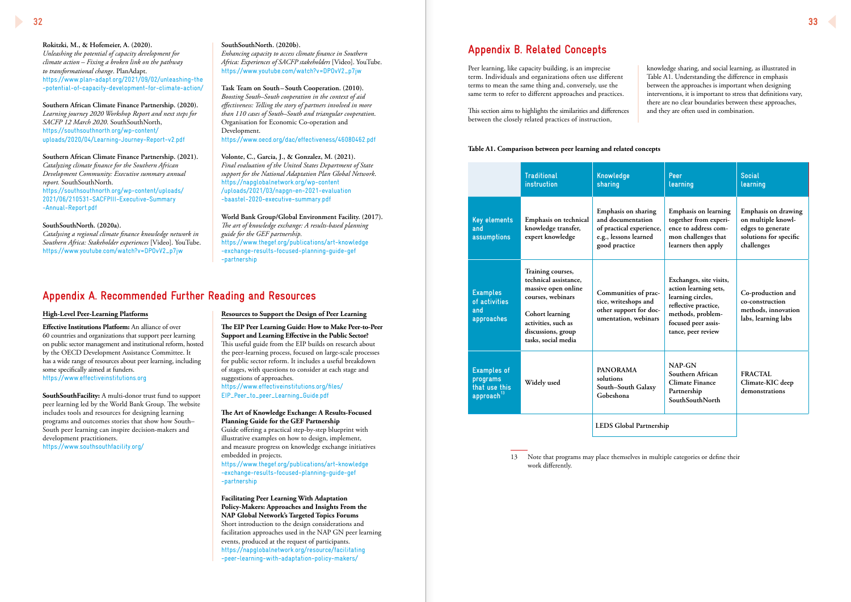**Rokitzki, M., & Hofemeier, A. (2020).** *Unleashing the potential of capacity development for climate action – Fixing a broken link on the pathway to transformational change*. PlanAdapt. https://www.plan-adapt.org/2021/09/02/unleashing-the -potential-of-capacity-development-for-climate-action/

**Southern African Climate Finance Partnership. (2020).** *Learning journey 2020 Workshop Report and next steps for SACFP 12 March 2020*. SouthSouthNorth, https://southsouthnorth.org/wp-content/ uploads/2020/04/Learning-Journey-Report-v2.pdf

**Southern African Climate Finance Partnership. (2021).** *Catalyzing climate finance for the Southern African Development Community: Executive summary annual report.* SouthSouthNorth. https://southsouthnorth.org/wp-content/uploads/ 2021/06/210531-SACFPIII-Executive-Summary -Annual-Report.pdf

### **SouthSouthNorth. (2020a).**

*Catalysing a regional climate finance knowledge network in Southern Africa: Stakeholder experiences* [Video]. YouTube. https://www.youtube.com/watch?v=DPOvV2\_p7jw

### **High-Level Peer-Learning Platforms**

**Effective Institutions Platform:** An alliance of over 60 countries and organizations that support peer learning on public sector management and institutional reform, hosted by the OECD Development Assistance Committee. It has a wide range of resources about peer learning, including some specifically aimed at funders. https://www.effectiveinstitutions.org

**SouthSouthFacility:** A multi-donor trust fund to support peer learning led by the World Bank Group. The website includes tools and resources for designing learning programs and outcomes stories that show how South– South peer learning can inspire decision-makers and development practitioners. https://www.southsouthfacility.org/

### **SouthSouthNorth. (2020b).** *Enhancing capacity to access climate finance in Southern Africa: Experiences of SACFP stakeholders* [Video]. YouTube. https://www.youtube.com/watch?v=DPOvV2\_p7jw

**Task Team on South–South Cooperation. (2010).** *Boosting South–South cooperation in the context of aid effectiveness: Telling the story of partners involved in more than 110 cases of South–South and triangular cooperation*. Organisation for Economic Co-operation and Development. https://www.oecd.org/dac/effectiveness/46080462.pdf

**Volonte, C., Garcia, J., & Gonzalez, M. (2021).**  *Final evaluation of the United States Department of State support for the National Adaptation Plan Global Network*. https://napglobalnetwork.org/wp-content /uploads/2021/03/napgn-en-2021-evaluation -baastel-2020-executive-summary.pdf

**World Bank Group/Global Environment Facility. (2017).** *The art of knowledge exchange: A results-based planning guide for the GEF partnership.*  https://www.thegef.org/publications/art-knowledge -exchange-results-focused-planning-guide-gef -partnership

# **Appendix A. Recommended Further Reading and Resources**

### **Resources to Support the Design of Peer Learning**

**The EIP Peer Learning Guide: How to Make Peer-to-Peer Support and Learning Effective in the Public Sector?** This useful guide from the EIP builds on research about the peer-learning process, focused on large-scale processes for public sector reform. It includes a useful breakdown of stages, with questions to consider at each stage and suggestions of approaches.

https://www.effectiveinstitutions.org/files/ EIP\_Peer\_to\_peer\_Learning\_Guide.pdf

### **The Art of Knowledge Exchange: A Results-Focused Planning Guide for the GEF Partnership**

Guide offering a practical step-by-step blueprint with illustrative examples on how to design, implement, and measure progress on knowledge exchange initiatives embedded in projects.

https://www.thegef.org/publications/art-knowledge -exchange-results-focused-planning-guide-gef -partnership

**Facilitating Peer Learning With Adaptation Policy-Makers: Approaches and Insights From the NAP Global Network's Targeted Topics Forums** Short introduction to the design considerations and facilitation approaches used in the NAP GN peer learning events, produced at the request of participants. https://napglobalnetwork.org/resource/facilitating -peer-learning-with-adaptation-policy-makers/

Peer learning, like capacity building, is an imprecise term. Individuals and organizations often use different terms to mean the same thing and, conversely, use the same term to refer to different approaches and practices.

This section aims to highlights the similarities and differences between the closely related practices of instruction,

# **Appendix B. Related Concepts**

knowledge sharing, and social learning, as illustrated in Table A1. Understanding the difference in emphasis between the approaches is important when designing interventions, it is important to stress that definitions vary, there are no clear boundaries between these approaches, and they are often used in combination.

### **Table A1. Comparison between peer learning and related concepts**

|                                                                           | <b>Traditional</b><br><i>instruction</i>                                                                                                                                      | Knowledge<br>sharing                                                                                           | Peer<br>learning                                                                                                                                                | <b>Social</b><br>learning                                                                              |
|---------------------------------------------------------------------------|-------------------------------------------------------------------------------------------------------------------------------------------------------------------------------|----------------------------------------------------------------------------------------------------------------|-----------------------------------------------------------------------------------------------------------------------------------------------------------------|--------------------------------------------------------------------------------------------------------|
| <b>Key elements</b><br>and<br>assumptions                                 | Emphasis on technical<br>knowledge transfer,<br>expert knowledge                                                                                                              | Emphasis on sharing<br>and documentation<br>of practical experience,<br>e.g., lessons learned<br>good practice | Emphasis on learning<br>together from experi-<br>ence to address com-<br>mon challenges that<br>learners then apply                                             | Emphasis on drawing<br>on multiple knowl-<br>edges to generate<br>solutions for specific<br>challenges |
| <b>Examples</b><br>of activities<br>and<br>approaches                     | Training courses,<br>technical assistance,<br>massive open online<br>courses, webinars<br>Cohort learning<br>activities, such as<br>discussions, group<br>tasks, social media | Communities of prac-<br>tice, writeshops and<br>other support for doc-<br>umentation, webinars                 | Exchanges, site visits,<br>action learning sets,<br>learning circles,<br>reflective practice,<br>methods, problem-<br>focused peer assis-<br>tance, peer review | Co-production and<br>co-construction<br>methods, innovation<br>labs, learning labs                     |
| <b>Examples of</b><br>programs<br>that use this<br>approach <sup>13</sup> | Widely used                                                                                                                                                                   | <b>PANORAMA</b><br>solutions<br>South-South Galaxy<br>Gobeshona                                                | $NAP-GN$<br>Southern African<br><b>Climate Finance</b><br>Partnership<br><b>SouthSouthNorth</b>                                                                 | <b>FRACTAL</b><br>Climate-KIC deep<br>demonstrations                                                   |
|                                                                           |                                                                                                                                                                               | LEDS Global Partnership                                                                                        |                                                                                                                                                                 |                                                                                                        |

13 Note that programs may place themselves in multiple categories or define their work differently.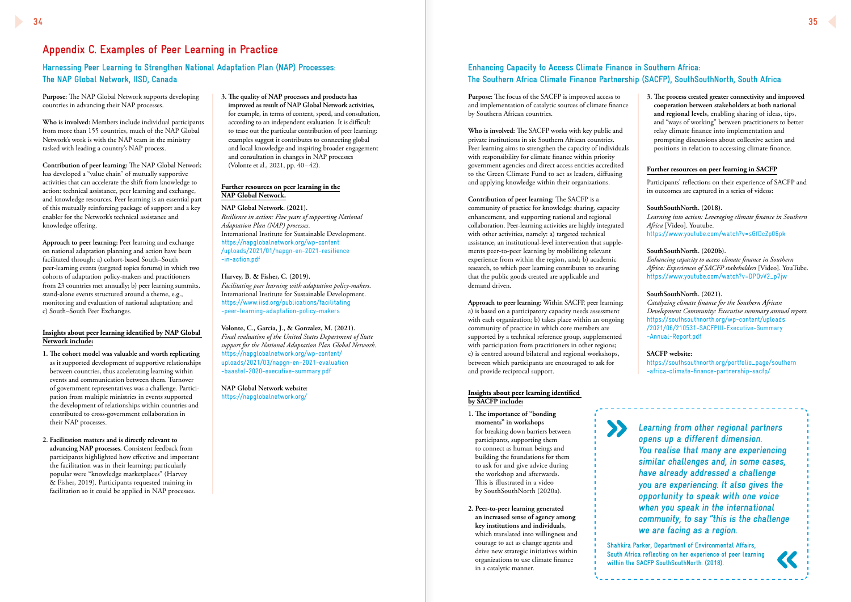**Purpose:** The NAP Global Network supports developing countries in advancing their NAP processes.

**Who is involved:** Members include individual participants from more than 155 countries, much of the NAP Global Network's work is with the NAP team in the ministry tasked with leading a country's NAP process.

**Contribution of peer learning:** The NAP Global Network has developed a "value chain" of mutually supportive activities that can accelerate the shift from knowledge to action: technical assistance, peer learning and exchange, and knowledge resources. Peer learning is an essential part of this mutually reinforcing package of support and a key enabler for the Network's technical assistance and knowledge offering.

**Approach to peer learning:** Peer learning and exchange on national adaptation planning and action have been facilitated through: a) cohort-based South–South peer-learning events (targeted topics forums) in which two cohorts of adaptation policy-makers and practitioners from 23 countries met annually; b) peer learning summits, stand-alone events structured around a theme, e.g., monitoring and evaluation of national adaptation; and c) South–South Peer Exchanges.

### **Insights about peer learning identified by NAP Global Network include:**

- **1. The cohort model was valuable and worth replicating** as it supported development of supportive relationships between countries, thus accelerating learning within events and communication between them. Turnover of government representatives was a challenge. Participation from multiple ministries in events supported the development of relationships within countries and contributed to cross-government collaboration in their NAP processes.
- **2. Facilitation matters and is directly relevant to advancing NAP processes.** Consistent feedback from participants highlighted how effective and important the facilitation was in their learning; particularly popular were "knowledge marketplaces" (Harvey & Fisher, 2019). Participants requested training in facilitation so it could be applied in NAP processes.

# **Appendix C. Examples of Peer Learning in Practice**

# **Harnessing Peer Learning to Strengthen National Adaptation Plan (NAP) Processes: The NAP Global Network, IISD, Canada**

# **Enhancing Capacity to Access Climate Finance in Southern Africa: The Southern Africa Climate Finance Partnership (SACFP), SouthSouthNorth, South Africa**

**3. The quality of NAP processes and products has improved as result of NAP Global Network activities,**  for example, in terms of content, speed, and consultation, according to an independent evaluation. It is difficult to tease out the particular contribution of peer learning: examples suggest it contributes to connecting global and local knowledge and inspiring broader engagement and consultation in changes in NAP processes (Volonte et al., 2021, pp. 40–42).

### **Further resources on peer learning in the NAP Global Network.**

**NAP Global Network. (2021).**  *Resilience in action: Five years of supporting National Adaptation Plan (NAP) processes*. International Institute for Sustainable Development. https://napglobalnetwork.org/wp-content /uploads/2021/01/napgn-en-2021-resilience -in-action.pdf

### **Harvey, B. & Fisher, C. (2019).**

*Facilitating peer learning with adaptation policy-makers*. International Institute for Sustainable Development. https://www.iisd.org/publications/facilitating -peer-learning-adaptation-policy-makers

### **Volonte, C., Garcia, J., & Gonzalez, M. (2021).**

*Final evaluation of the United States Department of State support for the National Adaptation Plan Global Network*. https://napglobalnetwork.org/wp-content/ uploads/2021/03/napgn-en-2021-evaluation -baastel-2020-executive-summary.pdf

**NAP Global Network website:** https://napglobalnetwork.org/

**Purpose:** The focus of the SACFP is improved access to and implementation of catalytic sources of climate finance by Southern African countries.

**Who is involved:** The SACFP works with key public and private institutions in six Southern African countries. Peer learning aims to strengthen the capacity of individuals with responsibility for climate finance within priority government agencies and direct access entities accredited to the Green Climate Fund to act as leaders, diffusing and applying knowledge within their organizations.

**Contribution of peer learning:** The SACFP is a community of practice for knowledge sharing, capacity enhancement, and supporting national and regional collaboration. Peer-learning activities are highly integrated with other activities, namely: a) targeted technical assistance, an institutional-level intervention that supplements peer-to-peer learning by mobilizing relevant experience from within the region, and; b) academic research, to which peer learning contributes to ensuring that the public goods created are applicable and demand driven.

**Approach to peer learning:** Within SACFP, peer learning: a) is based on a participatory capacity needs assessment with each organization; b) takes place within an ongoing community of practice in which core members are supported by a technical reference group, supplemented with participation from practitioners in other regions; c) is centred around bilateral and regional workshops, between which participants are encouraged to ask for and provide reciprocal support.

### **Insights about peer learning identified by SACFP include:**

- **1. The importance of "bonding moments" in workshops**  for breaking down barriers between participants, supporting them to connect as human beings and building the foundations for them to ask for and give advice during the workshop and afterwards. This is illustrated in a video by SouthSouthNorth (2020a).
- **2. Peer-to-peer learning generated an increased sense of agency among key institutions and individuals,** which translated into willingness and courage to act as change agents and drive new strategic initiatives within organizations to use climate finance in a catalytic manner.



**3. The process created greater connectivity and improved cooperation between stakeholders at both national and regional levels,** enabling sharing of ideas, tips, and "ways of working" between practitioners to better relay climate finance into implementation and prompting discussions about collective action and positions in relation to accessing climate finance.

### **Further resources on peer learning in SACFP**

Participants' reflections on their experience of SACFP and its outcomes are captured in a series of videos:

### **SouthSouthNorth. (2018).**

*Learning into action: Leveraging climate finance in Southern Africa* [Video]. Youtube. https://www.youtube.com/watch?v=sGfDcZp06pk

### **SouthSouthNorth. (2020b).**

*Enhancing capacity to access climate finance in Southern Africa: Experiences of SACFP stakeholders* [Video]. YouTube. https://www.youtube.com/watch?v=DPOvV2\_p7jw

### **SouthSouthNorth. (2021).**

*Catalyzing climate finance for the Southern African Development Community: Executive summary annual report.*  https://southsouthnorth.org/wp-content/uploads /2021/06/210531-SACFPIII-Executive-Summary -Annual-Report.pdf

### **SACFP website:**

https://southsouthnorth.org/portfolio\_page/southern -africa-climate-finance-partnership-sacfp/

**Learning from other regional partners opens up a different dimension. You realise that many are experiencing similar challenges and, in some cases, have already addressed a challenge you are experiencing. It also gives the opportunity to speak with one voice when you speak in the international community, to say "this is the challenge we are facing as a region. Shahkira Parker, Department of Environmental Affairs, South Africa reflecting on her experience of peer learning** 

**within the SACFP SouthSouthNorth. (2018).**